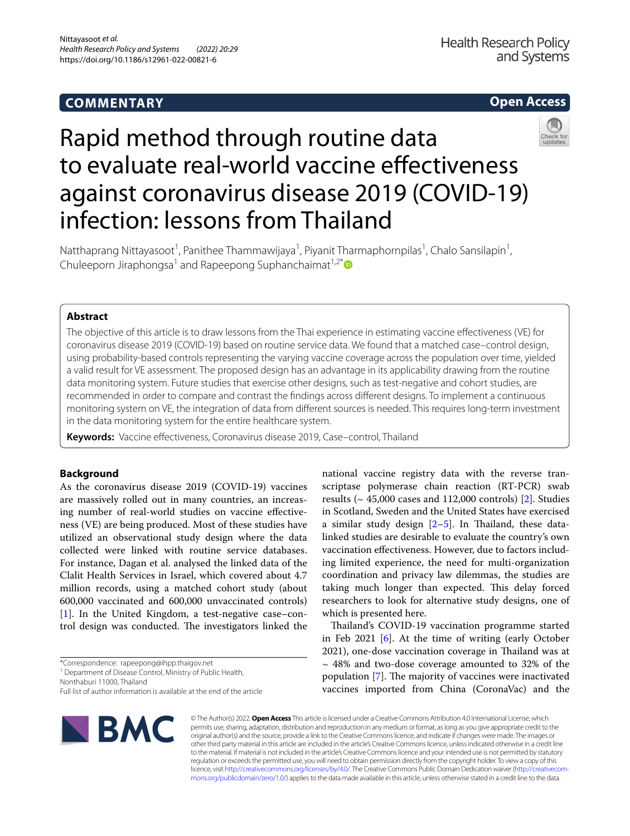# **COMMENTARY**

# **Open Access**



# Rapid method through routine data to evaluate real-world vaccine effectiveness against coronavirus disease 2019 (COVID-19) infection: lessons from Thailand

Natthaprang Nittayasoot<sup>1</sup>, Panithee Thammawijaya<sup>1</sup>, Piyanit Tharmaphornpilas<sup>1</sup>, Chalo Sansilapin<sup>1</sup>, Chuleeporn Jiraphongsa<sup>1</sup> and Rapeepong Suphanchaimat<sup>1,2[\\*](http://orcid.org/0000-0002-3664-9050)</sup>

# **Abstract**

The objective of this article is to draw lessons from the Thai experience in estimating vaccine efectiveness (VE) for coronavirus disease 2019 (COVID-19) based on routine service data. We found that a matched case–control design, using probability-based controls representing the varying vaccine coverage across the population over time, yielded a valid result for VE assessment. The proposed design has an advantage in its applicability drawing from the routine data monitoring system. Future studies that exercise other designs, such as test-negative and cohort studies, are recommended in order to compare and contrast the fndings across diferent designs. To implement a continuous monitoring system on VE, the integration of data from diferent sources is needed. This requires long-term investment in the data monitoring system for the entire healthcare system.

Keywords: Vaccine effectiveness, Coronavirus disease 2019, Case-control, Thailand

# **Background**

As the coronavirus disease 2019 (COVID-19) vaccines are massively rolled out in many countries, an increasing number of real-world studies on vaccine efectiveness (VE) are being produced. Most of these studies have utilized an observational study design where the data collected were linked with routine service databases. For instance, Dagan et al. analysed the linked data of the Clalit Health Services in Israel, which covered about 4.7 million records, using a matched cohort study (about 600,000 vaccinated and 600,000 unvaccinated controls) [[1\]](#page-4-0). In the United Kingdom, a test-negative case–control design was conducted. The investigators linked the

\*Correspondence: rapeepong@ihpp.thaigov.net

Nonthaburi 11000, Thailand

Full list of author information is available at the end of the article



national vaccine registry data with the reverse transcriptase polymerase chain reaction (RT-PCR) swab results ( $\sim$  45,000 cases and 112,000 controls) [[2\]](#page-4-1). Studies in Scotland, Sweden and the United States have exercised a similar study design  $[2-5]$  $[2-5]$  $[2-5]$ . In Thailand, these datalinked studies are desirable to evaluate the country's own vaccination efectiveness. However, due to factors including limited experience, the need for multi-organization coordination and privacy law dilemmas, the studies are taking much longer than expected. This delay forced researchers to look for alternative study designs, one of which is presented here.

Thailand's COVID-19 vaccination programme started in Feb 2021 [[6\]](#page-4-3). At the time of writing (early October 2021), one-dose vaccination coverage in Thailand was at  $\sim$  48% and two-dose coverage amounted to 32% of the population  $[7]$  $[7]$ . The majority of vaccines were inactivated vaccines imported from China (CoronaVac) and the

© The Author(s) 2022. **Open Access** This article is licensed under a Creative Commons Attribution 4.0 International License, which permits use, sharing, adaptation, distribution and reproduction in any medium or format, as long as you give appropriate credit to the original author(s) and the source, provide a link to the Creative Commons licence, and indicate if changes were made. The images or other third party material in this article are included in the article's Creative Commons licence, unless indicated otherwise in a credit line to the material. If material is not included in the article's Creative Commons licence and your intended use is not permitted by statutory regulation or exceeds the permitted use, you will need to obtain permission directly from the copyright holder. To view a copy of this licence, visit [http://creativecommons.org/licenses/by/4.0/.](http://creativecommons.org/licenses/by/4.0/) The Creative Commons Public Domain Dedication waiver ([http://creativecom](http://creativecommons.org/publicdomain/zero/1.0/)[mons.org/publicdomain/zero/1.0/\)](http://creativecommons.org/publicdomain/zero/1.0/) applies to the data made available in this article, unless otherwise stated in a credit line to the data.

<sup>&</sup>lt;sup>1</sup> Department of Disease Control, Ministry of Public Health,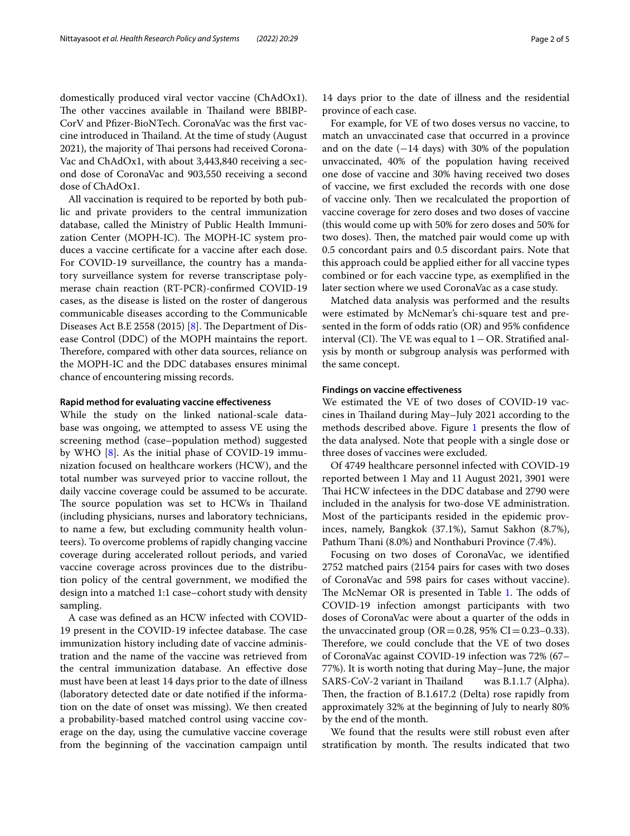domestically produced viral vector vaccine (ChAdOx1). The other vaccines available in Thailand were BBIBP-CorV and Pfzer-BioNTech. CoronaVac was the frst vaccine introduced in Thailand. At the time of study (August 2021), the majority of Thai persons had received Corona-Vac and ChAdOx1, with about 3,443,840 receiving a second dose of CoronaVac and 903,550 receiving a second dose of ChAdOx1.

All vaccination is required to be reported by both public and private providers to the central immunization database, called the Ministry of Public Health Immunization Center (MOPH-IC). The MOPH-IC system produces a vaccine certifcate for a vaccine after each dose. For COVID-19 surveillance, the country has a mandatory surveillance system for reverse transcriptase polymerase chain reaction (RT-PCR)-confrmed COVID-19 cases, as the disease is listed on the roster of dangerous communicable diseases according to the Communicable Diseases Act B.E 2558 (2015) [\[8](#page-4-5)]. The Department of Disease Control (DDC) of the MOPH maintains the report. Therefore, compared with other data sources, reliance on the MOPH-IC and the DDC databases ensures minimal chance of encountering missing records.

# **Rapid method for evaluating vaccine efectiveness**

While the study on the linked national-scale database was ongoing, we attempted to assess VE using the screening method (case–population method) suggested by WHO [\[8](#page-4-5)]. As the initial phase of COVID-19 immunization focused on healthcare workers (HCW), and the total number was surveyed prior to vaccine rollout, the daily vaccine coverage could be assumed to be accurate. The source population was set to HCWs in Thailand (including physicians, nurses and laboratory technicians, to name a few, but excluding community health volunteers). To overcome problems of rapidly changing vaccine coverage during accelerated rollout periods, and varied vaccine coverage across provinces due to the distribution policy of the central government, we modifed the design into a matched 1:1 case–cohort study with density sampling.

A case was defned as an HCW infected with COVID-19 present in the COVID-19 infectee database. The case immunization history including date of vaccine administration and the name of the vaccine was retrieved from the central immunization database. An efective dose must have been at least 14 days prior to the date of illness (laboratory detected date or date notifed if the information on the date of onset was missing). We then created a probability-based matched control using vaccine coverage on the day, using the cumulative vaccine coverage from the beginning of the vaccination campaign until

14 days prior to the date of illness and the residential province of each case.

For example, for VE of two doses versus no vaccine, to match an unvaccinated case that occurred in a province and on the date (−14 days) with 30% of the population unvaccinated, 40% of the population having received one dose of vaccine and 30% having received two doses of vaccine, we frst excluded the records with one dose of vaccine only. Then we recalculated the proportion of vaccine coverage for zero doses and two doses of vaccine (this would come up with 50% for zero doses and 50% for two doses). Then, the matched pair would come up with 0.5 concordant pairs and 0.5 discordant pairs. Note that this approach could be applied either for all vaccine types combined or for each vaccine type, as exemplifed in the later section where we used CoronaVac as a case study.

Matched data analysis was performed and the results were estimated by McNemar's chi-square test and presented in the form of odds ratio (OR) and 95% confdence interval (CI). The VE was equal to  $1$  – OR. Stratified analysis by month or subgroup analysis was performed with the same concept.

# **Findings on vaccine efectiveness**

We estimated the VE of two doses of COVID-19 vaccines in Thailand during May-July 2021 according to the methods described above. Figure [1](#page-2-0) presents the flow of the data analysed. Note that people with a single dose or three doses of vaccines were excluded.

Of 4749 healthcare personnel infected with COVID-19 reported between 1 May and 11 August 2021, 3901 were Thai HCW infectees in the DDC database and 2790 were included in the analysis for two-dose VE administration. Most of the participants resided in the epidemic provinces, namely, Bangkok (37.1%), Samut Sakhon (8.7%), Pathum Thani (8.0%) and Nonthaburi Province (7.4%).

Focusing on two doses of CoronaVac, we identifed 2752 matched pairs (2154 pairs for cases with two doses of CoronaVac and 598 pairs for cases without vaccine). The McNemar OR is presented in Table [1.](#page-2-1) The odds of COVID-19 infection amongst participants with two doses of CoronaVac were about a quarter of the odds in the unvaccinated group (OR = 0.28, 95% CI = 0.23–0.33). Therefore, we could conclude that the VE of two doses of CoronaVac against COVID-19 infection was 72% (67– 77%). It is worth noting that during May–June, the major SARS-CoV-2 variant in Thailand was B.1.1.7 (Alpha). Then, the fraction of B.1.617.2 (Delta) rose rapidly from approximately 32% at the beginning of July to nearly 80% by the end of the month.

We found that the results were still robust even after stratification by month. The results indicated that two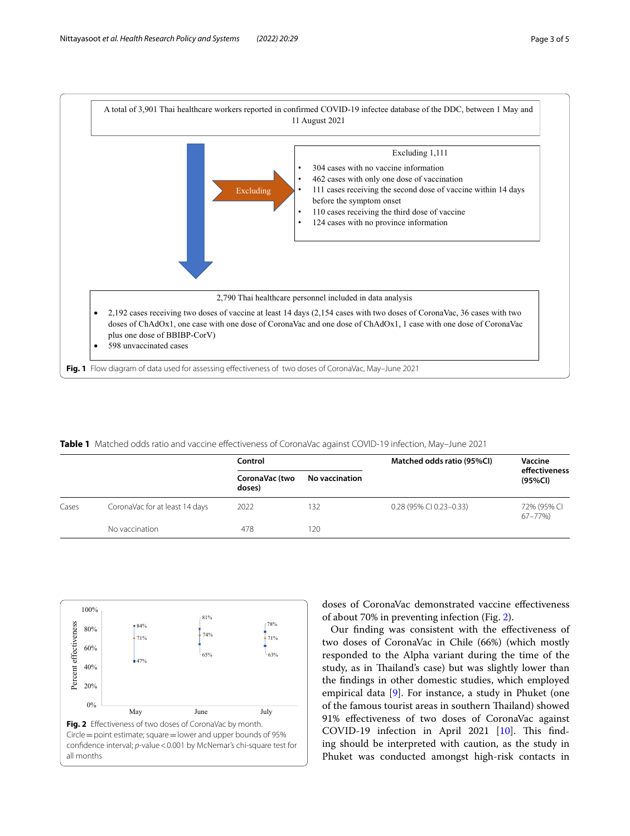

<span id="page-2-1"></span><span id="page-2-0"></span>**Table 1** Matched odds ratio and vaccine efectiveness of CoronaVac against COVID-19 infection, May–June 2021

|       |                                | Control                  |                       | Matched odds ratio (95%CI) | Vaccine                   |
|-------|--------------------------------|--------------------------|-----------------------|----------------------------|---------------------------|
|       |                                | CoronaVac (two<br>doses) | <b>No vaccination</b> |                            | effectiveness<br>(95%Cl)  |
| Cases | CoronaVac for at least 14 days | 2022                     | 132                   | 0.28 (95% CI 0.23-0.33)    | 72% (95% CI<br>$67 - 77%$ |
|       | No vaccination                 | 478                      | 120                   |                            |                           |

<span id="page-2-2"></span>

doses of CoronaVac demonstrated vaccine efectiveness of about 70% in preventing infection (Fig. [2\)](#page-2-2).

Our fnding was consistent with the efectiveness of two doses of CoronaVac in Chile (66%) (which mostly responded to the Alpha variant during the time of the study, as in Thailand's case) but was slightly lower than the fndings in other domestic studies, which employed empirical data [\[9](#page-4-6)]. For instance, a study in Phuket (one of the famous tourist areas in southern Tailand) showed 91% efectiveness of two doses of CoronaVac against COVID-19 infection in April 2021 [[10](#page-4-7)]. This finding should be interpreted with caution, as the study in Phuket was conducted amongst high-risk contacts in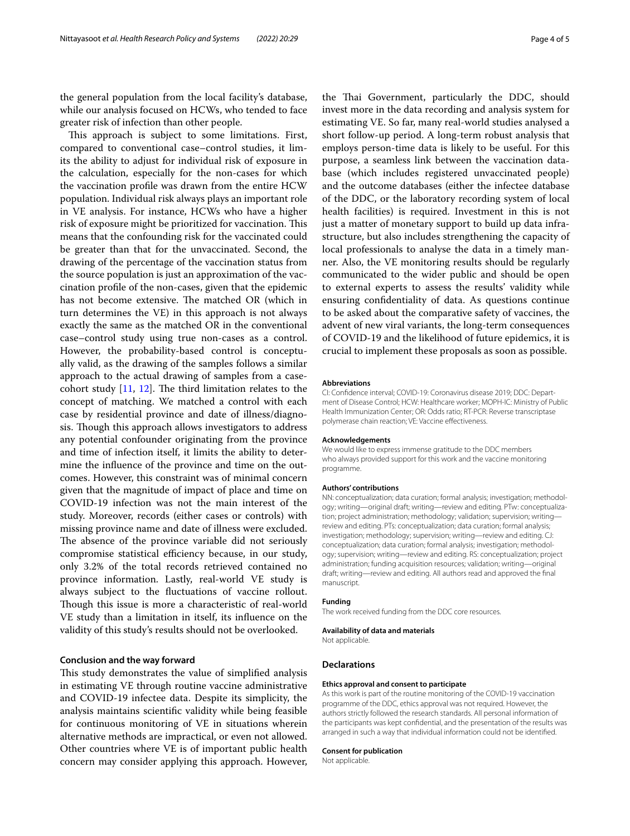the general population from the local facility's database, while our analysis focused on HCWs, who tended to face greater risk of infection than other people.

This approach is subject to some limitations. First, compared to conventional case–control studies, it limits the ability to adjust for individual risk of exposure in the calculation, especially for the non-cases for which the vaccination profle was drawn from the entire HCW population. Individual risk always plays an important role in VE analysis. For instance, HCWs who have a higher risk of exposure might be prioritized for vaccination. This means that the confounding risk for the vaccinated could be greater than that for the unvaccinated. Second, the drawing of the percentage of the vaccination status from the source population is just an approximation of the vaccination profle of the non-cases, given that the epidemic has not become extensive. The matched OR (which in turn determines the VE) in this approach is not always exactly the same as the matched OR in the conventional case–control study using true non-cases as a control. However, the probability-based control is conceptually valid, as the drawing of the samples follows a similar approach to the actual drawing of samples from a casecohort study  $[11, 12]$  $[11, 12]$  $[11, 12]$  $[11, 12]$  $[11, 12]$ . The third limitation relates to the concept of matching. We matched a control with each case by residential province and date of illness/diagnosis. Though this approach allows investigators to address any potential confounder originating from the province and time of infection itself, it limits the ability to determine the infuence of the province and time on the outcomes. However, this constraint was of minimal concern given that the magnitude of impact of place and time on COVID-19 infection was not the main interest of the study. Moreover, records (either cases or controls) with missing province name and date of illness were excluded. The absence of the province variable did not seriously compromise statistical efficiency because, in our study, only 3.2% of the total records retrieved contained no province information. Lastly, real-world VE study is always subject to the fuctuations of vaccine rollout. Though this issue is more a characteristic of real-world VE study than a limitation in itself, its infuence on the validity of this study's results should not be overlooked.

## **Conclusion and the way forward**

This study demonstrates the value of simplified analysis in estimating VE through routine vaccine administrative and COVID-19 infectee data. Despite its simplicity, the analysis maintains scientifc validity while being feasible for continuous monitoring of VE in situations wherein alternative methods are impractical, or even not allowed. Other countries where VE is of important public health concern may consider applying this approach. However,

the Thai Government, particularly the DDC, should invest more in the data recording and analysis system for estimating VE. So far, many real-world studies analysed a short follow-up period. A long-term robust analysis that employs person-time data is likely to be useful. For this purpose, a seamless link between the vaccination database (which includes registered unvaccinated people) and the outcome databases (either the infectee database of the DDC, or the laboratory recording system of local health facilities) is required. Investment in this is not just a matter of monetary support to build up data infrastructure, but also includes strengthening the capacity of local professionals to analyse the data in a timely manner. Also, the VE monitoring results should be regularly communicated to the wider public and should be open to external experts to assess the results' validity while ensuring confdentiality of data. As questions continue to be asked about the comparative safety of vaccines, the advent of new viral variants, the long-term consequences of COVID-19 and the likelihood of future epidemics, it is crucial to implement these proposals as soon as possible.

#### **Abbreviations**

CI: Confdence interval; COVID-19: Coronavirus disease 2019; DDC: Department of Disease Control; HCW: Healthcare worker; MOPH-IC: Ministry of Public Health Immunization Center; OR: Odds ratio; RT-PCR: Reverse transcriptase polymerase chain reaction; VE: Vaccine efectiveness.

### **Acknowledgements**

We would like to express immense gratitude to the DDC members who always provided support for this work and the vaccine monitoring programme.

#### **Authors' contributions**

NN: conceptualization; data curation; formal analysis; investigation; methodology; writing—original draft; writing—review and editing. PTw: conceptualization; project administration; methodology; validation; supervision; writing review and editing. PTs: conceptualization; data curation; formal analysis; investigation; methodology; supervision; writing—review and editing. CJ: conceptualization; data curation; formal analysis; investigation; methodology; supervision; writing—review and editing. RS: conceptualization; project administration; funding acquisition resources; validation; writing—original draft; writing—review and editing. All authors read and approved the fnal manuscript.

#### **Funding**

The work received funding from the DDC core resources.

#### **Availability of data and materials**

Not applicable.

#### **Declarations**

#### **Ethics approval and consent to participate**

As this work is part of the routine monitoring of the COVID-19 vaccination programme of the DDC, ethics approval was not required. However, the authors strictly followed the research standards. All personal information of the participants was kept confdential, and the presentation of the results was arranged in such a way that individual information could not be identifed.

#### **Consent for publication**

Not applicable.